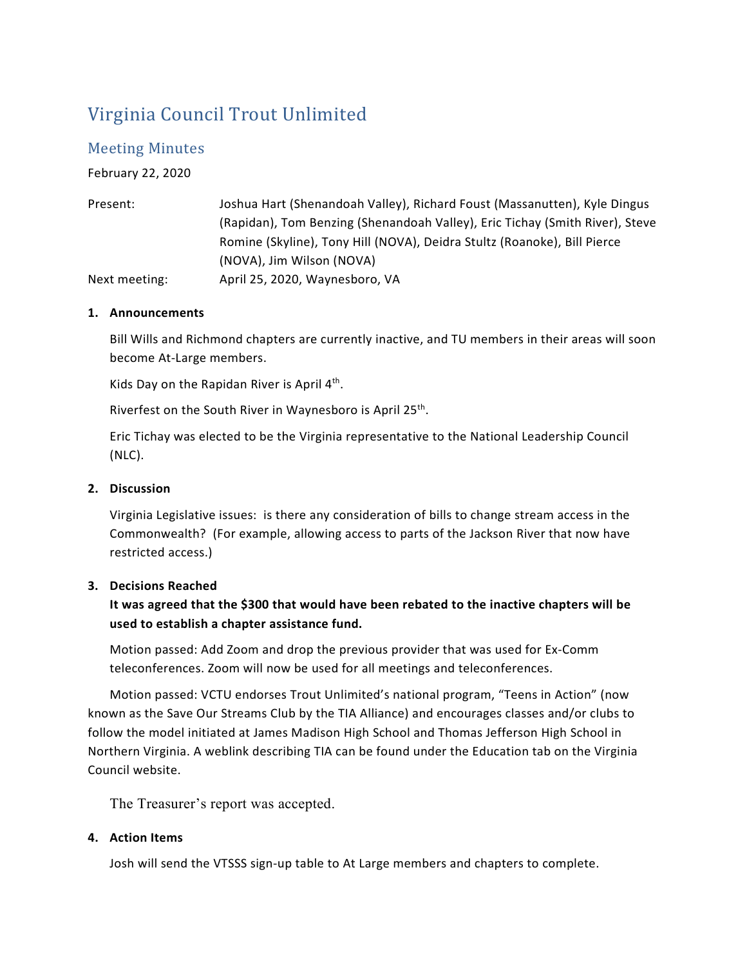# Virginia Council Trout Unlimited

# Meeting Minutes

February 22, 2020

| Present:      | Joshua Hart (Shenandoah Valley), Richard Foust (Massanutten), Kyle Dingus    |
|---------------|------------------------------------------------------------------------------|
|               | (Rapidan), Tom Benzing (Shenandoah Valley), Eric Tichay (Smith River), Steve |
|               | Romine (Skyline), Tony Hill (NOVA), Deidra Stultz (Roanoke), Bill Pierce     |
|               | (NOVA), Jim Wilson (NOVA)                                                    |
| Next meeting: | April 25, 2020, Waynesboro, VA                                               |

## **1. Announcements**

Bill Wills and Richmond chapters are currently inactive, and TU members in their areas will soon become At-Large members.

Kids Day on the Rapidan River is April 4<sup>th</sup>.

Riverfest on the South River in Waynesboro is April 25<sup>th</sup>.

Eric Tichay was elected to be the Virginia representative to the National Leadership Council (NLC).

## **2. Discussion**

Virginia Legislative issues: is there any consideration of bills to change stream access in the Commonwealth? (For example, allowing access to parts of the Jackson River that now have restricted access.)

#### **3. Decisions Reached**

**It was agreed that the \$300 that would have been rebated to the inactive chapters will be used to establish a chapter assistance fund.**

Motion passed: Add Zoom and drop the previous provider that was used for Ex-Comm teleconferences. Zoom will now be used for all meetings and teleconferences.

Motion passed: VCTU endorses Trout Unlimited's national program, "Teens in Action" (now known as the Save Our Streams Club by the TIA Alliance) and encourages classes and/or clubs to follow the model initiated at James Madison High School and Thomas Jefferson High School in Northern Virginia. A weblink describing TIA can be found under the Education tab on the Virginia Council website.

The Treasurer's report was accepted.

#### **4. Action Items**

Josh will send the VTSSS sign-up table to At Large members and chapters to complete.